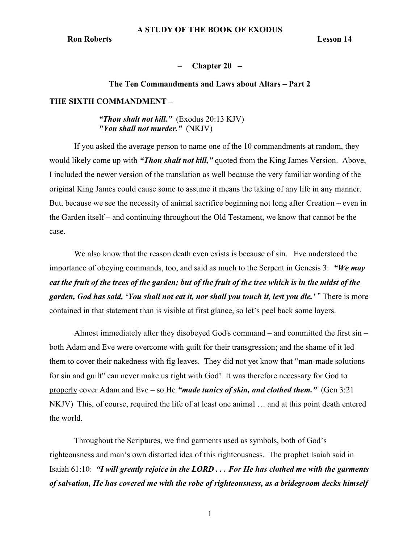## Chapter  $20 -$

# The Ten Commandments and Laws about Altars – Part 2

# THE SIXTH COMMANDMENT –

# "Thou shalt not kill."  $(Exodus 20:13 KJV)$ "You shall not murder." (NKJV)

If you asked the average person to name one of the 10 commandments at random, they would likely come up with "*Thou shalt not kill*," quoted from the King James Version. Above, I included the newer version of the translation as well because the very familiar wording of the original King James could cause some to assume it means the taking of any life in any manner. But, because we see the necessity of animal sacrifice beginning not long after Creation – even in the Garden itself – and continuing throughout the Old Testament, we know that cannot be the case.

We also know that the reason death even exists is because of sin. Eve understood the importance of obeying commands, too, and said as much to the Serpent in Genesis 3: "We may eat the fruit of the trees of the garden; but of the fruit of the tree which is in the midst of the garden, God has said, 'You shall not eat it, nor shall you touch it, lest you die.' " There is more contained in that statement than is visible at first glance, so let's peel back some layers.

Almost immediately after they disobeyed God's command – and committed the first sin – both Adam and Eve were overcome with guilt for their transgression; and the shame of it led them to cover their nakedness with fig leaves. They did not yet know that "man-made solutions for sin and guilt" can never make us right with God! It was therefore necessary for God to properly cover Adam and Eve – so He "made tunics of skin, and clothed them." (Gen  $3:21$ NKJV) This, of course, required the life of at least one animal … and at this point death entered the world.

Throughout the Scriptures, we find garments used as symbols, both of God's righteousness and man's own distorted idea of this righteousness. The prophet Isaiah said in Isaiah 61:10: "I will greatly rejoice in the LORD . . . For He has clothed me with the garments of salvation, He has covered me with the robe of righteousness, as a bridegroom decks himself

1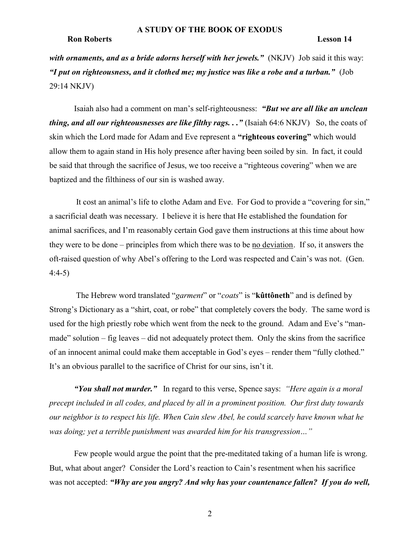with ornaments, and as a bride adorns herself with her jewels." (NKJV) Job said it this way: "I put on righteousness, and it clothed me; my justice was like a robe and a turban." (Job 29:14 NKJV)

Isaiah also had a comment on man's self-righteousness: "But we are all like an unclean thing, and all our righteousnesses are like filthy rags.  $\ldots$  " (Isaiah 64:6 NKJV) So, the coats of skin which the Lord made for Adam and Eve represent a "righteous covering" which would allow them to again stand in His holy presence after having been soiled by sin. In fact, it could be said that through the sacrifice of Jesus, we too receive a "righteous covering" when we are baptized and the filthiness of our sin is washed away.

 It cost an animal's life to clothe Adam and Eve. For God to provide a "covering for sin," a sacrificial death was necessary. I believe it is here that He established the foundation for animal sacrifices, and I'm reasonably certain God gave them instructions at this time about how they were to be done – principles from which there was to be no deviation. If so, it answers the oft-raised question of why Abel's offering to the Lord was respected and Cain's was not. (Gen. 4:4-5)

The Hebrew word translated "garment" or "coats" is "kûttôneth" and is defined by Strong's Dictionary as a "shirt, coat, or robe" that completely covers the body. The same word is used for the high priestly robe which went from the neck to the ground. Adam and Eve's "manmade" solution – fig leaves – did not adequately protect them. Only the skins from the sacrifice of an innocent animal could make them acceptable in God's eyes – render them "fully clothed." It's an obvious parallel to the sacrifice of Christ for our sins, isn't it.

"You shall not murder." In regard to this verse, Spence says: "Here again is a moral precept included in all codes, and placed by all in a prominent position. Our first duty towards our neighbor is to respect his life. When Cain slew Abel, he could scarcely have known what he was doing; yet a terrible punishment was awarded him for his transgression..."

Few people would argue the point that the pre-meditated taking of a human life is wrong. But, what about anger? Consider the Lord's reaction to Cain's resentment when his sacrifice was not accepted: "Why are you angry? And why has your countenance fallen? If you do well,

2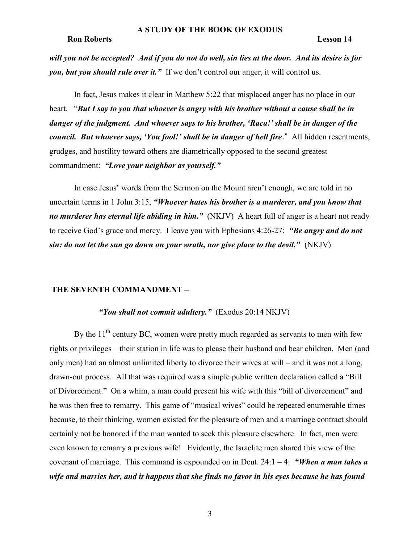will you not be accepted? And if you do not do well, sin lies at the door. And its desire is for you, but you should rule over it." If we don't control our anger, it will control us.

In fact, Jesus makes it clear in Matthew 5:22 that misplaced anger has no place in our heart. "But I say to you that whoever is angry with his brother without a cause shall be in danger of the judgment. And whoever says to his brother, 'Raca!'shall be in danger of the council. But whoever says, 'You fool!' shall be in danger of hell fire." All hidden resentments, grudges, and hostility toward others are diametrically opposed to the second greatest commandment: "Love your neighbor as yourself."

In case Jesus' words from the Sermon on the Mount aren't enough, we are told in no uncertain terms in 1 John 3:15, "Whoever hates his brother is a murderer, and you know that no murderer has eternal life abiding in him." (NKJV) A heart full of anger is a heart not ready to receive God's grace and mercy. I leave you with Ephesians 4:26-27: "Be angry and do not sin: do not let the sun go down on your wrath, nor give place to the devil."  $(NKJV)$ 

### THE SEVENTH COMMANDMENT –

# "You shall not commit adultery."  $(Exodus 20:14 NKJV)$

By the  $11<sup>th</sup>$  century BC, women were pretty much regarded as servants to men with few rights or privileges – their station in life was to please their husband and bear children. Men (and only men) had an almost unlimited liberty to divorce their wives at will – and it was not a long, drawn-out process. All that was required was a simple public written declaration called a "Bill of Divorcement." On a whim, a man could present his wife with this "bill of divorcement" and he was then free to remarry. This game of "musical wives" could be repeated enumerable times because, to their thinking, women existed for the pleasure of men and a marriage contract should certainly not be honored if the man wanted to seek this pleasure elsewhere. In fact, men were even known to remarry a previous wife! Evidently, the Israelite men shared this view of the covenant of marriage. This command is expounded on in Deut.  $24:1 - 4$ : "When a man takes a wife and marries her, and it happens that she finds no favor in his eyes because he has found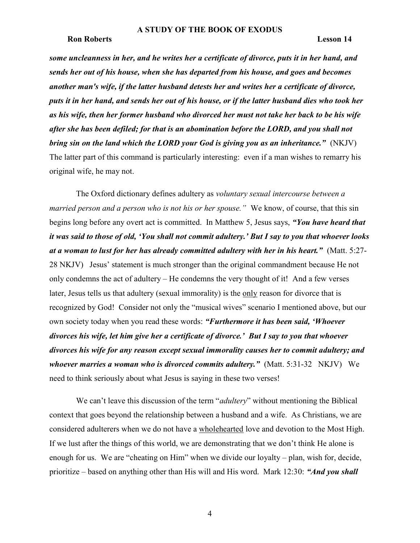### A STUDY OF THE BOOK OF EXODUS

### Ron Roberts Lesson 14

some uncleanness in her, and he writes her a certificate of divorce, puts it in her hand, and sends her out of his house, when she has departed from his house, and goes and becomes another man's wife, if the latter husband detests her and writes her a certificate of divorce, puts it in her hand, and sends her out of his house, or if the latter husband dies who took her as his wife, then her former husband who divorced her must not take her back to be his wife after she has been defiled; for that is an abomination before the LORD, and you shall not bring sin on the land which the LORD your God is giving you as an inheritance." (NKJV) The latter part of this command is particularly interesting: even if a man wishes to remarry his original wife, he may not.

 The Oxford dictionary defines adultery as voluntary sexual intercourse between a married person and a person who is not his or her spouse." We know, of course, that this sin begins long before any overt act is committed. In Matthew 5, Jesus says, "You have heard that it was said to those of old, 'You shall not commit adultery.' But I say to you that whoever looks at a woman to lust for her has already committed adultery with her in his heart." (Matt. 5:27- 28 NKJV) Jesus' statement is much stronger than the original commandment because He not only condemns the act of adultery – He condemns the very thought of it! And a few verses later, Jesus tells us that adultery (sexual immorality) is the only reason for divorce that is recognized by God! Consider not only the "musical wives" scenario I mentioned above, but our own society today when you read these words: "Furthermore it has been said, 'Whoever' divorces his wife, let him give her a certificate of divorce.' But I say to you that whoever divorces his wife for any reason except sexual immorality causes her to commit adultery; and whoever marries a woman who is divorced commits adultery." (Matt.  $5:31-32$  NKJV) We need to think seriously about what Jesus is saying in these two verses!

We can't leave this discussion of the term "*adultery*" without mentioning the Biblical context that goes beyond the relationship between a husband and a wife. As Christians, we are considered adulterers when we do not have a wholehearted love and devotion to the Most High. If we lust after the things of this world, we are demonstrating that we don't think He alone is enough for us. We are "cheating on Him" when we divide our loyalty – plan, wish for, decide, prioritize – based on anything other than His will and His word. Mark 12:30: "And you shall

4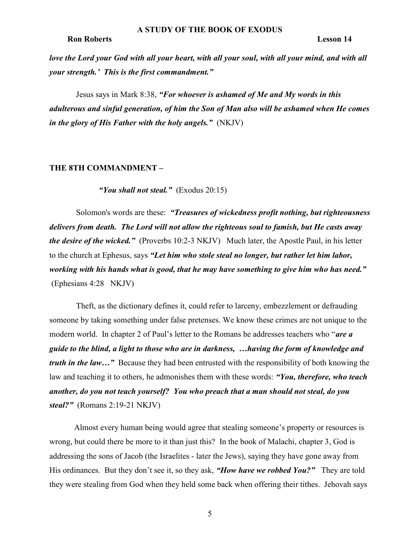love the Lord your God with all your heart, with all your soul, with all your mind, and with all your strength.' This is the first commandment."

 Jesus says in Mark 8:38, "For whoever is ashamed of Me and My words in this adulterous and sinful generation, of him the Son of Man also will be ashamed when He comes in the glory of His Father with the holy angels."  $(NKJV)$ 

### THE 8TH COMMANDMENT –

"You shall not steal."  $(Exodus 20:15)$ 

Solomon's words are these: "Treasures of wickedness profit nothing, but righteousness delivers from death. The Lord will not allow the righteous soul to famish, but He casts away the desire of the wicked." (Proverbs 10:2-3 NKJV) Much later, the Apostle Paul, in his letter to the church at Ephesus, says "Let him who stole steal no longer, but rather let him labor, working with his hands what is good, that he may have something to give him who has need." (Ephesians 4:28 NKJV)

 Theft, as the dictionary defines it, could refer to larceny, embezzlement or defrauding someone by taking something under false pretenses. We know these crimes are not unique to the modern world. In chapter 2 of Paul's letter to the Romans he addresses teachers who "are a guide to the blind, a light to those who are in darkness, …having the form of knowledge and truth in the law..." Because they had been entrusted with the responsibility of both knowing the law and teaching it to others, he admonishes them with these words: "You, therefore, who teach another, do you not teach yourself? You who preach that a man should not steal, do you steal?" (Romans 2:19-21 NKJV)

Almost every human being would agree that stealing someone's property or resources is wrong, but could there be more to it than just this? In the book of Malachi, chapter 3, God is addressing the sons of Jacob (the Israelites - later the Jews), saying they have gone away from His ordinances. But they don't see it, so they ask, "*How have we robbed You?*" They are told they were stealing from God when they held some back when offering their tithes. Jehovah says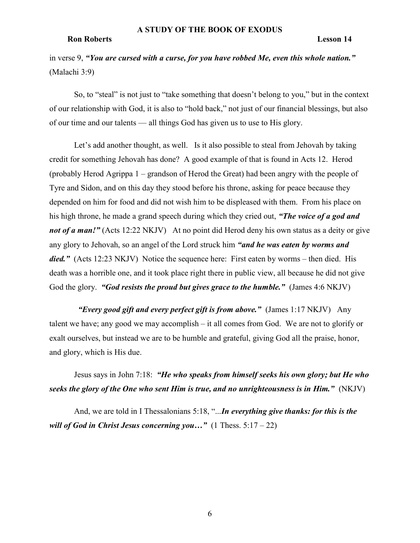in verse 9, "You are cursed with a curse, for you have robbed Me, even this whole nation." (Malachi 3:9)

So, to "steal" is not just to "take something that doesn't belong to you," but in the context of our relationship with God, it is also to "hold back," not just of our financial blessings, but also of our time and our talents — all things God has given us to use to His glory.

Let's add another thought, as well. Is it also possible to steal from Jehovah by taking credit for something Jehovah has done? A good example of that is found in Acts 12. Herod (probably Herod Agrippa 1 – grandson of Herod the Great) had been angry with the people of Tyre and Sidon, and on this day they stood before his throne, asking for peace because they depended on him for food and did not wish him to be displeased with them. From his place on his high throne, he made a grand speech during which they cried out, "The voice of a god and not of a man!" (Acts 12:22 NKJV) At no point did Herod deny his own status as a deity or give any glory to Jehovah, so an angel of the Lord struck him "and he was eaten by worms and died." (Acts 12:23 NKJV) Notice the sequence here: First eaten by worms – then died. His death was a horrible one, and it took place right there in public view, all because he did not give God the glory. "God resists the proud but gives grace to the humble." (James 4:6 NKJV)

"Every good gift and every perfect gift is from above." (James  $1:17$  NKJV) Any talent we have; any good we may accomplish – it all comes from God. We are not to glorify or exalt ourselves, but instead we are to be humble and grateful, giving God all the praise, honor, and glory, which is His due.

Jesus says in John 7:18: "He who speaks from himself seeks his own glory; but He who seeks the glory of the One who sent Him is true, and no unrighteousness is in Him." (NKJV)

And, we are told in I Thessalonians 5:18, "...In everything give thanks: for this is the will of God in Christ Jesus concerning you..." (1 Thess.  $5:17-22$ )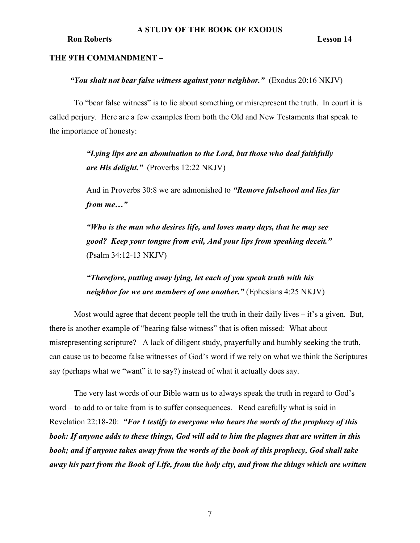# THE 9TH COMMANDMENT –

# "You shalt not bear false witness against your neighbor." (Exodus 20:16 NKJV)

To "bear false witness" is to lie about something or misrepresent the truth. In court it is called perjury. Here are a few examples from both the Old and New Testaments that speak to the importance of honesty:

> "Lying lips are an abomination to the Lord, but those who deal faithfully are His delight." (Proverbs 12:22 NKJV)

And in Proverbs 30:8 we are admonished to "Remove falsehood and lies far from me…"

"Who is the man who desires life, and loves many days, that he may see good? Keep your tongue from evil, And your lips from speaking deceit." (Psalm 34:12-13 NKJV)

"Therefore, putting away lying, let each of you speak truth with his neighbor for we are members of one another." (Ephesians 4:25 NKJV)

Most would agree that decent people tell the truth in their daily lives – it's a given. But, there is another example of "bearing false witness" that is often missed: What about misrepresenting scripture? A lack of diligent study, prayerfully and humbly seeking the truth, can cause us to become false witnesses of God's word if we rely on what we think the Scriptures say (perhaps what we "want" it to say?) instead of what it actually does say.

The very last words of our Bible warn us to always speak the truth in regard to God's word – to add to or take from is to suffer consequences. Read carefully what is said in Revelation 22:18-20: "For I testify to everyone who hears the words of the prophecy of this book: If anyone adds to these things, God will add to him the plagues that are written in this book; and if anyone takes away from the words of the book of this prophecy, God shall take away his part from the Book of Life, from the holy city, and from the things which are written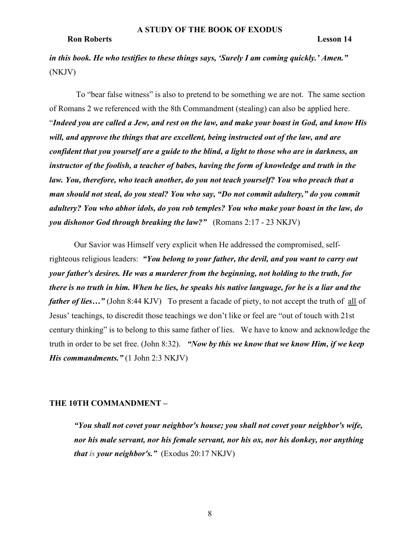in this book. He who testifies to these things says, 'Surely I am coming quickly.' Amen." (NKJV)

 To "bear false witness" is also to pretend to be something we are not. The same section of Romans 2 we referenced with the 8th Commandment (stealing) can also be applied here. "Indeed you are called a Jew, and rest on the law, and make your boast in God, and know His will, and approve the things that are excellent, being instructed out of the law, and are confident that you yourself are a guide to the blind, a light to those who are in darkness, an instructor of the foolish, a teacher of babes, having the form of knowledge and truth in the law. You, therefore, who teach another, do you not teach yourself? You who preach that a man should not steal, do you steal? You who say, "Do not commit adultery," do you commit adultery? You who abhor idols, do you rob temples? You who make your boast in the law, do you dishonor God through breaking the law?" (Romans  $2:17 - 23 \text{ NKJV}$ )

Our Savior was Himself very explicit when He addressed the compromised, selfrighteous religious leaders: "You belong to your father, the devil, and you want to carry out your father's desires. He was a murderer from the beginning, not holding to the truth, for there is no truth in him. When he lies, he speaks his native language, for he is a liar and the father of lies..." (John 8:44 KJV) To present a facade of piety, to not accept the truth of all of Jesus' teachings, to discredit those teachings we don't like or feel are "out of touch with 21st century thinking" is to belong to this same father of lies. We have to know and acknowledge the truth in order to be set free. (John 8:32). "Now by this we know that we know Him, if we keep His commandments." (1 John 2:3 NKJV)

### THE 10TH COMMANDMENT –

"You shall not covet your neighbor's house; you shall not covet your neighbor's wife, nor his male servant, nor his female servant, nor his ox, nor his donkey, nor anything *that is your neighbor's.*" (Exodus  $20:17 \text{ NKJV}$ )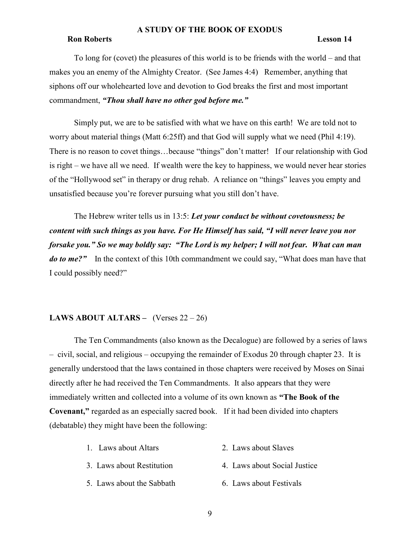## A STUDY OF THE BOOK OF EXODUS

## Ron Roberts Lesson 14

To long for (covet) the pleasures of this world is to be friends with the world – and that makes you an enemy of the Almighty Creator. (See James 4:4) Remember, anything that siphons off our wholehearted love and devotion to God breaks the first and most important commandment, "Thou shall have no other god before me."

Simply put, we are to be satisfied with what we have on this earth! We are told not to worry about material things (Matt 6:25ff) and that God will supply what we need (Phil 4:19). There is no reason to covet things…because "things" don't matter! If our relationship with God is right – we have all we need. If wealth were the key to happiness, we would never hear stories of the "Hollywood set" in therapy or drug rehab. A reliance on "things" leaves you empty and unsatisfied because you're forever pursuing what you still don't have.

The Hebrew writer tells us in 13:5: Let your conduct be without covetousness; be content with such things as you have. For He Himself has said, "I will never leave you nor forsake you." So we may boldly say: "The Lord is my helper; I will not fear. What can man do to me?" In the context of this 10th commandment we could say, "What does man have that I could possibly need?"

# LAWS ABOUT ALTARS – (Verses  $22 - 26$ )

The Ten Commandments (also known as the Decalogue) are followed by a series of laws – civil, social, and religious – occupying the remainder of Exodus 20 through chapter 23. It is generally understood that the laws contained in those chapters were received by Moses on Sinai directly after he had received the Ten Commandments. It also appears that they were immediately written and collected into a volume of its own known as "The Book of the Covenant," regarded as an especially sacred book. If it had been divided into chapters (debatable) they might have been the following:

- 3. Laws about Restitution 4. Laws about Social Justice
- 5. Laws about the Sabbath 6. Laws about Festivals